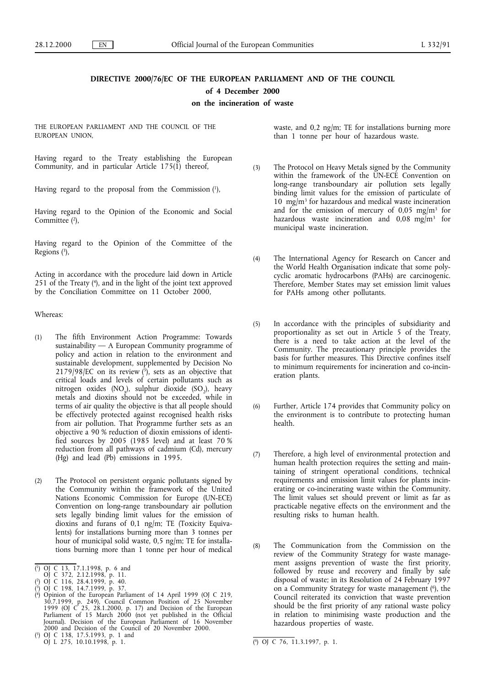# **DIRECTIVE 2000/76/EC OF THE EUROPEAN PARLIAMENT AND OF THE COUNCIL of 4 December 2000**

## **on the incineration of waste**

THE EUROPEAN PARLIAMENT AND THE COUNCIL OF THE EUROPEAN UNION,

Having regard to the Treaty establishing the European Community, and in particular Article 175(1) thereof,

Having regard to the proposal from the Commission (1),

Having regard to the Opinion of the Economic and Social Committee (2),

Having regard to the Opinion of the Committee of the Regions  $(3)$ ,

Acting in accordance with the procedure laid down in Article 251 of the Treaty (4), and in the light of the joint text approved by the Conciliation Committee on 11 October 2000,

#### Whereas:

- (1) The fifth Environment Action Programme: Towards sustainability — A European Community programme of policy and action in relation to the environment and sustainable development, supplemented by Decision No 2179/98/EC on its review  $(\overline{5})$ , sets as an objective that critical loads and levels of certain pollutants such as nitrogen oxides (NO<sub>x</sub>), sulphur dioxide (SO<sub>2</sub>), heavy metals and dioxins should not be exceeded, while in terms of air quality the objective is that all people should be effectively protected against recognised health risks from air pollution. That Programme further sets as an objective a 90 % reduction of dioxin emissions of identified sources by 2005 (1985 level) and at least 70 % reduction from all pathways of cadmium (Cd), mercury (Hg) and lead (Pb) emissions in 1995.
- (2) The Protocol on persistent organic pollutants signed by the Community within the framework of the United Nations Economic Commission for Europe (UN-ECE) Convention on long-range transboundary air pollution sets legally binding limit values for the emission of dioxins and furans of 0,1 ng/m; TE (Toxicity Equivalents) for installations burning more than 3 tonnes per hour of municipal solid waste, 0,5 ng/m; TE for installations burning more than 1 tonne per hour of medical

- ( 2) OJ C 116, 28.4.1999, p. 40. ( 3) OJ C 198, 14.7.1999, p. 37.
- ( 4) Opinion of the European Parliament of 14 April 1999 (OJ C 219, 30.7.1999, p. 249), Council Common Position of 25 November 1999 (OJ C 25, 28.1.2000, p. 17) and Decision of the European Parliament of 15 March 2000 (not yet published in the Official Journal). Decision of the European Parliament of 16 November 2000 and Decision of the Council of 20 November 2000.

( 5) OJ C 138, 17.5.1993, p. 1 and

waste, and  $0.2$  ng/m; TE for installations burning more than 1 tonne per hour of hazardous waste.

- (3) The Protocol on Heavy Metals signed by the Community within the framework of the UN-ECE Convention on long-range transboundary air pollution sets legally binding limit values for the emission of particulate of 10 mg/m<sup>3</sup> for hazardous and medical waste incineration and for the emission of mercury of  $0.05$  mg/m<sup>3</sup> for hazardous waste incineration and 0,08 mg/m<sup>3</sup> for municipal waste incineration.
- (4) The International Agency for Research on Cancer and the World Health Organisation indicate that some polycyclic aromatic hydrocarbons (PAHs) are carcinogenic. Therefore, Member States may set emission limit values for PAHs among other pollutants.
- (5) In accordance with the principles of subsidiarity and proportionality as set out in Article 5 of the Treaty, there is a need to take action at the level of the Community. The precautionary principle provides the basis for further measures. This Directive confines itself to minimum requirements for incineration and co-incineration plants.
- (6) Further, Article 174 provides that Community policy on the environment is to contribute to protecting human health.
- (7) Therefore, a high level of environmental protection and human health protection requires the setting and maintaining of stringent operational conditions, technical requirements and emission limit values for plants incinerating or co-incinerating waste within the Community. The limit values set should prevent or limit as far as practicable negative effects on the environment and the resulting risks to human health.
- (8) The Communication from the Commission on the review of the Community Strategy for waste management assigns prevention of waste the first priority, followed by reuse and recovery and finally by safe disposal of waste; in its Resolution of 24 February 1997 on a Community Strategy for waste management (6), the Council reiterated its conviction that waste prevention should be the first priority of any rational waste policy in relation to minimising waste production and the hazardous properties of waste.

<sup>(</sup> 1) OJ C 13, 17.1.1998, p. 6 and

OJ C 372, 2.12.1998, p. 11.

OJ L 275, 10.10.1998, p. 1. (6) OJ C 76, 11.3.1997, p. 1.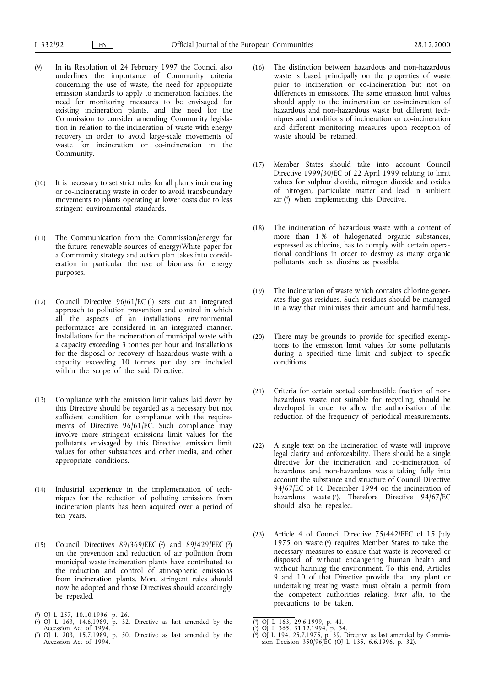- (9) In its Resolution of 24 February 1997 the Council also underlines the importance of Community criteria concerning the use of waste, the need for appropriate emission standards to apply to incineration facilities, the need for monitoring measures to be envisaged for existing incineration plants, and the need for the Commission to consider amending Community legislation in relation to the incineration of waste with energy recovery in order to avoid large-scale movements of waste for incineration or co-incineration in the Community.
- (10) It is necessary to set strict rules for all plants incinerating or co-incinerating waste in order to avoid transboundary movements to plants operating at lower costs due to less stringent environmental standards.
- (11) The Communication from the Commission/energy for the future: renewable sources of energy/White paper for a Community strategy and action plan takes into consideration in particular the use of biomass for energy purposes.
- (12) Council Directive 96/61/EC (1) sets out an integrated approach to pollution prevention and control in which all the aspects of an installations environmental performance are considered in an integrated manner. Installations for the incineration of municipal waste with a capacity exceeding 3 tonnes per hour and installations for the disposal or recovery of hazardous waste with a capacity exceeding 10 tonnes per day are included within the scope of the said Directive.
- (13) Compliance with the emission limit values laid down by this Directive should be regarded as a necessary but not sufficient condition for compliance with the requirements of Directive 96/61/EC. Such compliance may involve more stringent emissions limit values for the pollutants envisaged by this Directive, emission limit values for other substances and other media, and other appropriate conditions.
- (14) Industrial experience in the implementation of techniques for the reduction of polluting emissions from incineration plants has been acquired over a period of ten years.
- (15) Council Directives  $89/369/EEC$  (2) and  $89/429/EEC$  (3) on the prevention and reduction of air pollution from municipal waste incineration plants have contributed to the reduction and control of atmospheric emissions from incineration plants. More stringent rules should now be adopted and those Directives should accordingly be repealed.
- (16) The distinction between hazardous and non-hazardous waste is based principally on the properties of waste prior to incineration or co-incineration but not on differences in emissions. The same emission limit values should apply to the incineration or co-incineration of hazardous and non-hazardous waste but different techniques and conditions of incineration or co-incineration and different monitoring measures upon reception of waste should be retained.
- (17) Member States should take into account Council Directive 1999/30/EC of 22 April 1999 relating to limit values for sulphur dioxide, nitrogen dioxide and oxides of nitrogen, particulate matter and lead in ambient air (4) when implementing this Directive.
- (18) The incineration of hazardous waste with a content of more than 1 % of halogenated organic substances, expressed as chlorine, has to comply with certain operational conditions in order to destroy as many organic pollutants such as dioxins as possible.
- (19) The incineration of waste which contains chlorine generates flue gas residues. Such residues should be managed in a way that minimises their amount and harmfulness.
- (20) There may be grounds to provide for specified exemptions to the emission limit values for some pollutants during a specified time limit and subject to specific conditions.
- (21) Criteria for certain sorted combustible fraction of nonhazardous waste not suitable for recycling, should be developed in order to allow the authorisation of the reduction of the frequency of periodical measurements.
- (22) A single text on the incineration of waste will improve legal clarity and enforceability. There should be a single directive for the incineration and co-incineration of hazardous and non-hazardous waste taking fully into account the substance and structure of Council Directive 94/67/EC of 16 December 1994 on the incineration of hazardous waste (5). Therefore Directive 94/67/EC should also be repealed.
- (23) Article 4 of Council Directive 75/442/EEC of 15 July 1975 on waste (<sup>6</sup>) requires Member States to take the necessary measures to ensure that waste is recovered or disposed of without endangering human health and without harming the environment. To this end, Articles 9 and 10 of that Directive provide that any plant or undertaking treating waste must obtain a permit from the competent authorities relating, *inter alia*, to the precautions to be taken.

<sup>(</sup> 1) OJ L 257, 10.10.1996, p. 26.

<sup>(</sup> 2) OJ L 163, 14.6.1989, p. 32. Directive as last amended by the Accession Act of 1994.

<sup>(</sup> 3) OJ L 203, 15.7.1989, p. 50. Directive as last amended by the Accession Act of 1994.

<sup>(</sup> 4) OJ L 163, 29.6.1999, p. 41.

<sup>(</sup> 5) OJ L 365, 31.12.1994, p. 34.

<sup>(</sup> 6) OJ L 194, 25.7.1975, p. 39. Directive as last amended by Commission Decision 350/96/EC (OJ L 135, 6.6.1996, p. 32).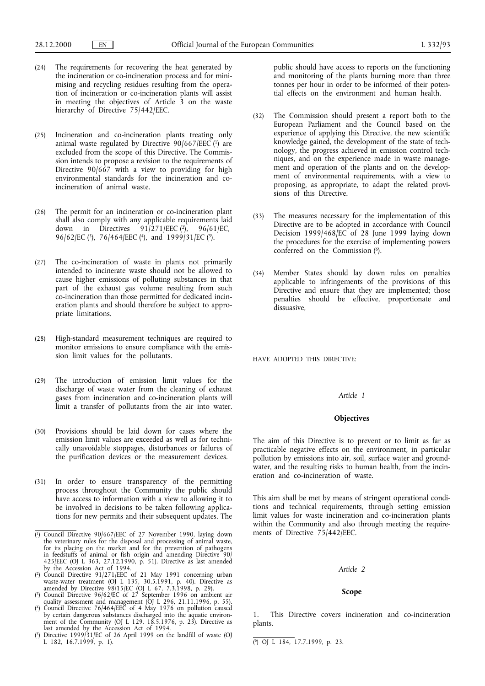- (24) The requirements for recovering the heat generated by the incineration or co-incineration process and for minimising and recycling residues resulting from the operation of incineration or co-incineration plants will assist in meeting the objectives of Article 3 on the waste hierarchy of Directive 75/442/EEC.
- (25) Incineration and co-incineration plants treating only animal waste regulated by Directive  $90/667/EEC$  (1) are excluded from the scope of this Directive. The Commission intends to propose a revision to the requirements of Directive 90/667 with a view to providing for high environmental standards for the incineration and coincineration of animal waste.
- (26) The permit for an incineration or co-incineration plant shall also comply with any applicable requirements laid down in Directives  $91/271/EEC$  (2),  $96/61/EC$ , 96/62/EC (3), 76/464/EEC (4), and 1999/31/EC (5).
- (27) The co-incineration of waste in plants not primarily intended to incinerate waste should not be allowed to cause higher emissions of polluting substances in that part of the exhaust gas volume resulting from such co-incineration than those permitted for dedicated incineration plants and should therefore be subject to appropriate limitations.
- (28) High-standard measurement techniques are required to monitor emissions to ensure compliance with the emission limit values for the pollutants.
- (29) The introduction of emission limit values for the discharge of waste water from the cleaning of exhaust gases from incineration and co-incineration plants will limit a transfer of pollutants from the air into water.
- (30) Provisions should be laid down for cases where the emission limit values are exceeded as well as for technically unavoidable stoppages, disturbances or failures of the purification devices or the measurement devices.
- (31) In order to ensure transparency of the permitting process throughout the Community the public should have access to information with a view to allowing it to be involved in decisions to be taken following applications for new permits and their subsequent updates. The

public should have access to reports on the functioning and monitoring of the plants burning more than three tonnes per hour in order to be informed of their potential effects on the environment and human health.

- (32) The Commission should present a report both to the European Parliament and the Council based on the experience of applying this Directive, the new scientific knowledge gained, the development of the state of technology, the progress achieved in emission control techniques, and on the experience made in waste management and operation of the plants and on the development of environmental requirements, with a view to proposing, as appropriate, to adapt the related provisions of this Directive.
- (33) The measures necessary for the implementation of this Directive are to be adopted in accordance with Council Decision 1999/468/EC of 28 June 1999 laying down the procedures for the exercise of implementing powers conferred on the Commission (6).
- (34) Member States should lay down rules on penalties applicable to infringements of the provisions of this Directive and ensure that they are implemented; those penalties should be effective, proportionate and dissuasive,

HAVE ADOPTED THIS DIRECTIVE:

#### *Article 1*

## **Objectives**

The aim of this Directive is to prevent or to limit as far as practicable negative effects on the environment, in particular pollution by emissions into air, soil, surface water and groundwater, and the resulting risks to human health, from the incineration and co-incineration of waste.

This aim shall be met by means of stringent operational conditions and technical requirements, through setting emission limit values for waste incineration and co-incineration plants within the Community and also through meeting the requirements of Directive 75/442/EEC.

#### *Article 2*

#### **Scope**

1. This Directive covers incineration and co-incineration plants.

<sup>(</sup> 1) Council Directive 90/667/EEC of 27 November 1990, laying down the veterinary rules for the disposal and processing of animal waste, for its placing on the market and for the prevention of pathogens in feedstuffs of animal or fish origin and amending Directive 90/ 425/EEC (OJ L 363, 27.12.1990, p. 51). Directive as last amended by the Accession Act of 1994.

<sup>(</sup> 2) Council Directive 91/271/EEC of 21 May 1991 concerning urban waste-water treatment (OJ L 135, 30.5.1991, p. 40). Directive as amended by Directive 98/15/EC (OJ L 67, 7.3.1998, p. 29).

<sup>(</sup> 3) Council Directive 96/62/EC of 27 September 1996 on ambient air quality assessment and management (OJ L 296, 21.11.1996, p. 55).

<sup>(</sup> 4) Council Directive 76/464/EEC of 4 May 1976 on pollution caused by certain dangerous substances discharged into the aquatic environment of the Community (OJ L 129, 18.5.1976, p. 23). Directive as last amended by the Accession Act of 1994.

<sup>(</sup> 5) Directive 1999/31/EC of 26 April 1999 on the landfill of waste (OJ L 182, 16.7.1999, p. 1). (6) OJ L 184, 17.7.1999, p. 23.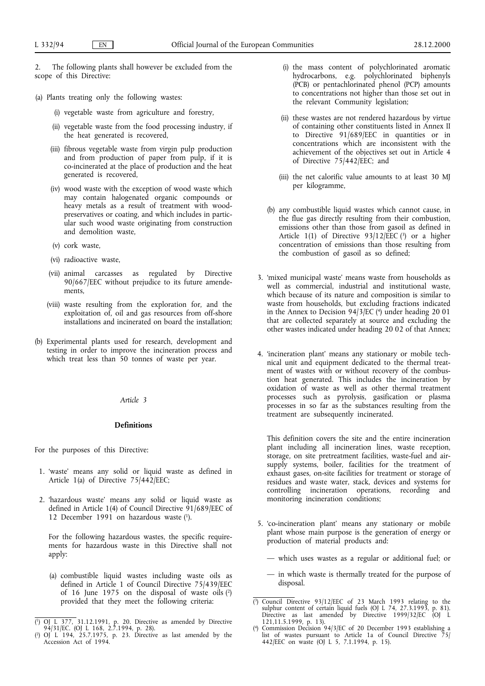scope of this Directive:

- (a) Plants treating only the following wastes:
	- (i) vegetable waste from agriculture and forestry,
	- (ii) vegetable waste from the food processing industry, if the heat generated is recovered,
	- (iii) fibrous vegetable waste from virgin pulp production and from production of paper from pulp, if it is co-incinerated at the place of production and the heat generated is recovered,
	- (iv) wood waste with the exception of wood waste which may contain halogenated organic compounds or heavy metals as a result of treatment with woodpreservatives or coating, and which includes in particular such wood waste originating from construction and demolition waste,
	- (v) cork waste,
	- (vi) radioactive waste,
	- (vii) animal carcasses as regulated by Directive 90/667/EEC without prejudice to its future amendements,
	- (viii) waste resulting from the exploration for, and the exploitation of, oil and gas resources from off-shore installations and incinerated on board the installation;
- (b) Experimental plants used for research, development and testing in order to improve the incineration process and which treat less than 50 tonnes of waste per year.

### *Article 3*

#### **Definitions**

For the purposes of this Directive:

- 1. 'waste' means any solid or liquid waste as defined in Article 1(a) of Directive 75/442/EEC;
- 2. 'hazardous waste' means any solid or liquid waste as defined in Article 1(4) of Council Directive 91/689/EEC of 12 December 1991 on hazardous waste (1).

For the following hazardous wastes, the specific requirements for hazardous waste in this Directive shall not apply:

(a) combustible liquid wastes including waste oils as defined in Article 1 of Council Directive 75/439/EEC of 16 June 1975 on the disposal of waste oils (2) provided that they meet the following criteria:

- (i) the mass content of polychlorinated aromatic hydrocarbons, e.g. polychlorinated biphenyls (PCB) or pentachlorinated phenol (PCP) amounts to concentrations not higher than those set out in the relevant Community legislation;
- (ii) these wastes are not rendered hazardous by virtue of containing other constituents listed in Annex II to Directive 91/689/EEC in quantities or in concentrations which are inconsistent with the achievement of the objectives set out in Article 4 of Directive 75/442/EEC; and
- (iii) the net calorific value amounts to at least 30 MJ per kilogramme,
- (b) any combustible liquid wastes which cannot cause, in the flue gas directly resulting from their combustion, emissions other than those from gasoil as defined in Article 1(1) of Directive  $93/12/EEC$  (3) or a higher concentration of emissions than those resulting from the combustion of gasoil as so defined;
- 3. 'mixed municipal waste' means waste from households as well as commercial, industrial and institutional waste, which because of its nature and composition is similar to waste from households, but excluding fractions indicated in the Annex to Decision  $94/3/EC$  ( $4$ ) under heading 20 01 that are collected separately at source and excluding the other wastes indicated under heading 20 02 of that Annex;
- 4. 'incineration plant' means any stationary or mobile technical unit and equipment dedicated to the thermal treatment of wastes with or without recovery of the combustion heat generated. This includes the incineration by oxidation of waste as well as other thermal treatment processes such as pyrolysis, gasification or plasma processes in so far as the substances resulting from the treatment are subsequently incinerated.

This definition covers the site and the entire incineration plant including all incineration lines, waste reception, storage, on site pretreatment facilities, waste-fuel and airsupply systems, boiler, facilities for the treatment of exhaust gases, on-site facilities for treatment or storage of residues and waste water, stack, devices and systems for controlling incineration operations, recording and monitoring incineration conditions;

- 5. 'co-incineration plant' means any stationary or mobile plant whose main purpose is the generation of energy or production of material products and:
	- which uses wastes as a regular or additional fuel; or
	- in which waste is thermally treated for the purpose of disposal.

<sup>(</sup>*'*) OJ L 377, 31.12.1991, p. 20. Directive as amended by Directive 121,11.5.1999, p. 13).

<sup>(</sup> 2) OJ L 194, 25.7.1975, p. 23. Directive as last amended by the Accession Act of 1994.

<sup>(</sup> 3) Council Directive 93/12/EEC of 23 March 1993 relating to the sulphur content of certain liquid fuels (OJ L 74, 27.3.1993, p. 81). Directive as last amended by Directive 1999/32/EC (OJ L

<sup>94/31/</sup>EC. (OJ L 168, 2.7.1994, p. 28). (4) Commission Decision 94/3/EC of 20 December 1993 establishing a list of wastes pursuant to Article 1a of Council Directive 75/ List of wastes pursuant to Article 1a of Council Directive<br>442/EEC on waste (OJ L 5, 7.1.1994, p. 15).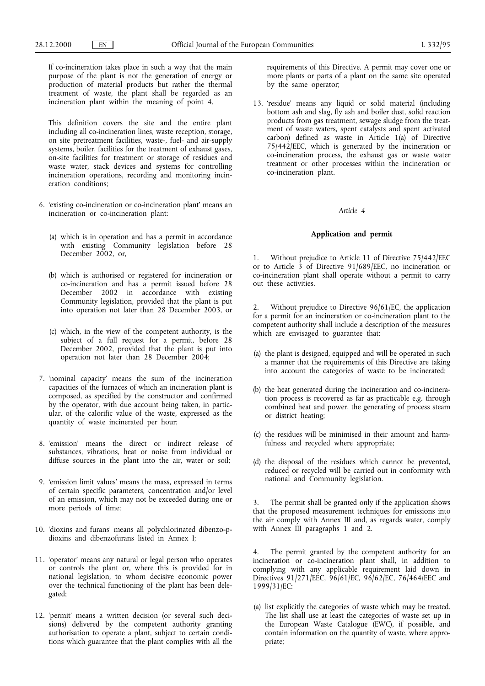If co-incineration takes place in such a way that the main purpose of the plant is not the generation of energy or production of material products but rather the thermal treatment of waste, the plant shall be regarded as an incineration plant within the meaning of point 4.

This definition covers the site and the entire plant including all co-incineration lines, waste reception, storage, on site pretreatment facilities, waste-, fuel- and air-supply systems, boiler, facilities for the treatment of exhaust gases, on-site facilities for treatment or storage of residues and waste water, stack devices and systems for controlling incineration operations, recording and monitoring incineration conditions;

- 6. 'existing co-incineration or co-incineration plant' means an incineration or co-incineration plant:
	- (a) which is in operation and has a permit in accordance with existing Community legislation before 28 December 2002, or,
	- (b) which is authorised or registered for incineration or co-incineration and has a permit issued before 28 December 2002 in accordance with existing Community legislation, provided that the plant is put into operation not later than 28 December 2003, or
	- (c) which, in the view of the competent authority, is the subject of a full request for a permit, before 28 December 2002, provided that the plant is put into operation not later than 28 December 2004;
- 7. 'nominal capacity' means the sum of the incineration capacities of the furnaces of which an incineration plant is composed, as specified by the constructor and confirmed by the operator, with due account being taken, in particular, of the calorific value of the waste, expressed as the quantity of waste incinerated per hour;
- 8. 'emission' means the direct or indirect release of substances, vibrations, heat or noise from individual or diffuse sources in the plant into the air, water or soil;
- 9. 'emission limit values' means the mass, expressed in terms of certain specific parameters, concentration and/or level of an emission, which may not be exceeded during one or more periods of time;
- 10. 'dioxins and furans' means all polychlorinated dibenzo-pdioxins and dibenzofurans listed in Annex I;
- 11. 'operator' means any natural or legal person who operates or controls the plant or, where this is provided for in national legislation, to whom decisive economic power over the technical functioning of the plant has been delegated;
- 12. 'permit' means a written decision (or several such decisions) delivered by the competent authority granting authorisation to operate a plant, subject to certain conditions which guarantee that the plant complies with all the

requirements of this Directive. A permit may cover one or more plants or parts of a plant on the same site operated by the same operator;

13. 'residue' means any liquid or solid material (including bottom ash and slag, fly ash and boiler dust, solid reaction products from gas treatment, sewage sludge from the treatment of waste waters, spent catalysts and spent activated carbon) defined as waste in Article  $1(a)$  of Directive 75/442/EEC, which is generated by the incineration or co-incineration process, the exhaust gas or waste water treatment or other processes within the incineration or co-incineration plant.

## *Article 4*

#### **Application and permit**

1. Without prejudice to Article 11 of Directive 75/442/EEC or to Article 3 of Directive 91/689/EEC, no incineration or co-incineration plant shall operate without a permit to carry out these activities.

2. Without prejudice to Directive 96/61/EC, the application for a permit for an incineration or co-incineration plant to the competent authority shall include a description of the measures which are envisaged to guarantee that:

- (a) the plant is designed, equipped and will be operated in such a manner that the requirements of this Directive are taking into account the categories of waste to be incinerated;
- (b) the heat generated during the incineration and co-incineration process is recovered as far as practicable e.g. through combined heat and power, the generating of process steam or district heating;
- (c) the residues will be minimised in their amount and harmfulness and recycled where appropriate;
- (d) the disposal of the residues which cannot be prevented, reduced or recycled will be carried out in conformity with national and Community legislation.

3. The permit shall be granted only if the application shows that the proposed measurement techniques for emissions into the air comply with Annex III and, as regards water, comply with Annex III paragraphs 1 and 2.

4. The permit granted by the competent authority for an incineration or co-incineration plant shall, in addition to complying with any applicable requirement laid down in Directives 91/271/EEC, 96/61/EC, 96/62/EC, 76/464/EEC and 1999/31/EC:

(a) list explicitly the categories of waste which may be treated. The list shall use at least the categories of waste set up in the European Waste Catalogue (EWC), if possible, and contain information on the quantity of waste, where appropriate;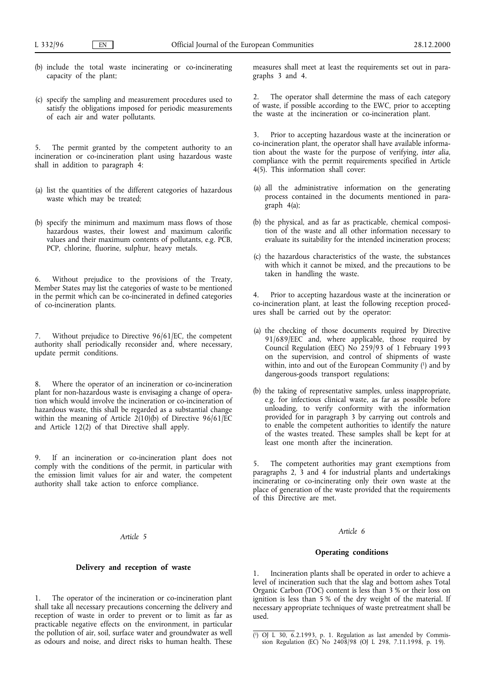- (b) include the total waste incinerating or co-incinerating capacity of the plant;
- (c) specify the sampling and measurement procedures used to satisfy the obligations imposed for periodic measurements of each air and water pollutants.

5. The permit granted by the competent authority to an incineration or co-incineration plant using hazardous waste shall in addition to paragraph 4:

- (a) list the quantities of the different categories of hazardous waste which may be treated;
- (b) specify the minimum and maximum mass flows of those hazardous wastes, their lowest and maximum calorific values and their maximum contents of pollutants, e.g. PCB, PCP, chlorine, fluorine, sulphur, heavy metals.

6. Without prejudice to the provisions of the Treaty, Member States may list the categories of waste to be mentioned in the permit which can be co-incinerated in defined categories of co-incineration plants.

7. Without prejudice to Directive 96/61/EC, the competent authority shall periodically reconsider and, where necessary, update permit conditions.

8. Where the operator of an incineration or co-incineration plant for non-hazardous waste is envisaging a change of operation which would involve the incineration or co-incineration of hazardous waste, this shall be regarded as a substantial change within the meaning of Article  $2(10)(b)$  of Directive  $96/61/\overline{E}C$ and Article 12(2) of that Directive shall apply.

9. If an incineration or co-incineration plant does not comply with the conditions of the permit, in particular with the emission limit values for air and water, the competent authority shall take action to enforce compliance.

#### *Article 5*

## **Delivery and reception of waste**

The operator of the incineration or co-incineration plant shall take all necessary precautions concerning the delivery and reception of waste in order to prevent or to limit as far as practicable negative effects on the environment, in particular the pollution of air, soil, surface water and groundwater as well as odours and noise, and direct risks to human health. These

measures shall meet at least the requirements set out in paragraphs 3 and 4.

2. The operator shall determine the mass of each category of waste, if possible according to the EWC, prior to accepting the waste at the incineration or co-incineration plant.

3. Prior to accepting hazardous waste at the incineration or co-incineration plant, the operator shall have available information about the waste for the purpose of verifying, *inter alia*, compliance with the permit requirements specified in Article 4(5). This information shall cover:

- (a) all the administrative information on the generating process contained in the documents mentioned in paragraph 4(a);
- (b) the physical, and as far as practicable, chemical composition of the waste and all other information necessary to evaluate its suitability for the intended incineration process;
- (c) the hazardous characteristics of the waste, the substances with which it cannot be mixed, and the precautions to be taken in handling the waste.

4. Prior to accepting hazardous waste at the incineration or co-incineration plant, at least the following reception procedures shall be carried out by the operator:

- (a) the checking of those documents required by Directive 91/689/EEC and, where applicable, those required by Council Regulation (EEC) No 259/93 of 1 February 1993 on the supervision, and control of shipments of waste within, into and out of the European Community (1) and by dangerous-goods transport regulations;
- (b) the taking of representative samples, unless inappropriate, e.g. for infectious clinical waste, as far as possible before unloading, to verify conformity with the information provided for in paragraph 3 by carrying out controls and to enable the competent authorities to identify the nature of the wastes treated. These samples shall be kept for at least one month after the incineration.

5. The competent authorities may grant exemptions from paragraphs 2, 3 and 4 for industrial plants and undertakings incinerating or co-incinerating only their own waste at the place of generation of the waste provided that the requirements of this Directive are met.

## *Article 6*

#### **Operating conditions**

1. Incineration plants shall be operated in order to achieve a level of incineration such that the slag and bottom ashes Total Organic Carbon (TOC) content is less than 3 % or their loss on ignition is less than 5 % of the dry weight of the material. If necessary appropriate techniques of waste pretreatment shall be used.

<sup>(</sup> 1) OJ L 30, 6.2.1993, p. 1. Regulation as last amended by Commission Regulation (EC) No 2408/98 (OJ L 298, 7.11.1998, p. 19).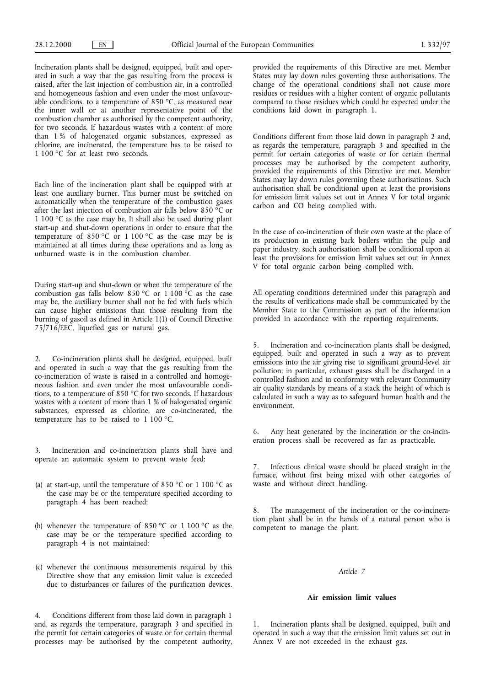Incineration plants shall be designed, equipped, built and operated in such a way that the gas resulting from the process is raised, after the last injection of combustion air, in a controlled and homogeneous fashion and even under the most unfavourable conditions, to a temperature of 850 °C, as measured near the inner wall or at another representative point of the combustion chamber as authorised by the competent authority, for two seconds. If hazardous wastes with a content of more than 1 % of halogenated organic substances, expressed as chlorine, are incinerated, the temperature has to be raised to 1 100 °C for at least two seconds.

Each line of the incineration plant shall be equipped with at least one auxiliary burner. This burner must be switched on automatically when the temperature of the combustion gases after the last injection of combustion air falls below 850  $\degree$ C or 1 100 °C as the case may be. It shall also be used during plant start-up and shut-down operations in order to ensure that the temperature of 850 °C or 1 100 °C as the case may be is maintained at all times during these operations and as long as unburned waste is in the combustion chamber.

During start-up and shut-down or when the temperature of the combustion gas falls below 850 °C or 1 100 °C as the case may be, the auxiliary burner shall not be fed with fuels which can cause higher emissions than those resulting from the burning of gasoil as defined in Article 1(1) of Council Directive 75/716/EEC, liquefied gas or natural gas.

2. Co-incineration plants shall be designed, equipped, built and operated in such a way that the gas resulting from the co-incineration of waste is raised in a controlled and homogeneous fashion and even under the most unfavourable conditions, to a temperature of 850 °C for two seconds. If hazardous wastes with a content of more than 1 % of halogenated organic substances, expressed as chlorine, are co-incinerated, the temperature has to be raised to 1 100 °C.

Incineration and co-incineration plants shall have and operate an automatic system to prevent waste feed:

- (a) at start-up, until the temperature of 850 °C or 1 100 °C as the case may be or the temperature specified according to paragraph 4 has been reached;
- (b) whenever the temperature of 850 °C or 1 100 °C as the case may be or the temperature specified according to paragraph 4 is not maintained;
- (c) whenever the continuous measurements required by this Directive show that any emission limit value is exceeded due to disturbances or failures of the purification devices.

Conditions different from those laid down in paragraph 1 and, as regards the temperature, paragraph 3 and specified in the permit for certain categories of waste or for certain thermal processes may be authorised by the competent authority, provided the requirements of this Directive are met. Member States may lay down rules governing these authorisations. The change of the operational conditions shall not cause more residues or residues with a higher content of organic pollutants compared to those residues which could be expected under the conditions laid down in paragraph 1.

Conditions different from those laid down in paragraph 2 and, as regards the temperature, paragraph 3 and specified in the permit for certain categories of waste or for certain thermal processes may be authorised by the competent authority, provided the requirements of this Directive are met. Member States may lay down rules governing these authorisations. Such authorisation shall be conditional upon at least the provisions for emission limit values set out in Annex V for total organic carbon and CO being complied with.

In the case of co-incineration of their own waste at the place of its production in existing bark boilers within the pulp and paper industry, such authorisation shall be conditional upon at least the provisions for emission limit values set out in Annex V for total organic carbon being complied with.

All operating conditions determined under this paragraph and the results of verifications made shall be communicated by the Member State to the Commission as part of the information provided in accordance with the reporting requirements.

Incineration and co-incineration plants shall be designed, equipped, built and operated in such a way as to prevent emissions into the air giving rise to significant ground-level air pollution; in particular, exhaust gases shall be discharged in a controlled fashion and in conformity with relevant Community air quality standards by means of a stack the height of which is calculated in such a way as to safeguard human health and the environment.

Any heat generated by the incineration or the co-incineration process shall be recovered as far as practicable.

7. Infectious clinical waste should be placed straight in the furnace, without first being mixed with other categories of waste and without direct handling.

8. The management of the incineration or the co-incineration plant shall be in the hands of a natural person who is competent to manage the plant.

#### *Article 7*

## **Air emission limit values**

1. Incineration plants shall be designed, equipped, built and operated in such a way that the emission limit values set out in Annex V are not exceeded in the exhaust gas.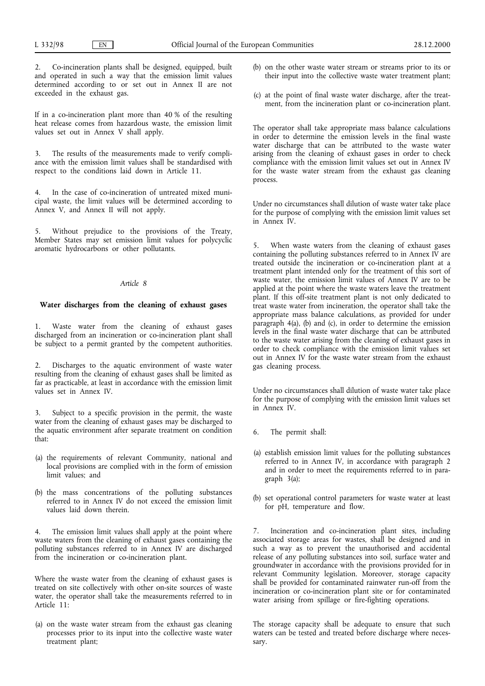2. Co-incineration plants shall be designed, equipped, built and operated in such a way that the emission limit values determined according to or set out in Annex II are not exceeded in the exhaust gas.

If in a co-incineration plant more than 40 % of the resulting heat release comes from hazardous waste, the emission limit values set out in Annex V shall apply.

3. The results of the measurements made to verify compliance with the emission limit values shall be standardised with respect to the conditions laid down in Article 11.

4. In the case of co-incineration of untreated mixed municipal waste, the limit values will be determined according to Annex V, and Annex II will not apply.

5. Without prejudice to the provisions of the Treaty, Member States may set emission limit values for polycyclic aromatic hydrocarbons or other pollutants.

#### *Article 8*

## **Water discharges from the cleaning of exhaust gases**

Waste water from the cleaning of exhaust gases discharged from an incineration or co-incineration plant shall be subject to a permit granted by the competent authorities.

Discharges to the aquatic environment of waste water resulting from the cleaning of exhaust gases shall be limited as far as practicable, at least in accordance with the emission limit values set in Annex IV.

3. Subject to a specific provision in the permit, the waste water from the cleaning of exhaust gases may be discharged to the aquatic environment after separate treatment on condition that:

- (a) the requirements of relevant Community, national and local provisions are complied with in the form of emission limit values; and
- (b) the mass concentrations of the polluting substances referred to in Annex IV do not exceed the emission limit values laid down therein.

4. The emission limit values shall apply at the point where waste waters from the cleaning of exhaust gases containing the polluting substances referred to in Annex IV are discharged from the incineration or co-incineration plant.

Where the waste water from the cleaning of exhaust gases is treated on site collectively with other on-site sources of waste water, the operator shall take the measurements referred to in Article 11:

(a) on the waste water stream from the exhaust gas cleaning processes prior to its input into the collective waste water treatment plant;

- (b) on the other waste water stream or streams prior to its or their input into the collective waste water treatment plant;
- (c) at the point of final waste water discharge, after the treatment, from the incineration plant or co-incineration plant.

The operator shall take appropriate mass balance calculations in order to determine the emission levels in the final waste water discharge that can be attributed to the waste water arising from the cleaning of exhaust gases in order to check compliance with the emission limit values set out in Annex IV for the waste water stream from the exhaust gas cleaning process.

Under no circumstances shall dilution of waste water take place for the purpose of complying with the emission limit values set in Annex IV.

5. When waste waters from the cleaning of exhaust gases containing the polluting substances referred to in Annex IV are treated outside the incineration or co-incineration plant at a treatment plant intended only for the treatment of this sort of waste water, the emission limit values of Annex IV are to be applied at the point where the waste waters leave the treatment plant. If this off-site treatment plant is not only dedicated to treat waste water from incineration, the operator shall take the appropriate mass balance calculations, as provided for under paragraph 4(a), (b) and (c), in order to determine the emission levels in the final waste water discharge that can be attributed to the waste water arising from the cleaning of exhaust gases in order to check compliance with the emission limit values set out in Annex IV for the waste water stream from the exhaust gas cleaning process.

Under no circumstances shall dilution of waste water take place for the purpose of complying with the emission limit values set in Annex IV.

- 6. The permit shall:
- (a) establish emission limit values for the polluting substances referred to in Annex IV, in accordance with paragraph 2 and in order to meet the requirements referred to in paragraph 3(a);
- (b) set operational control parameters for waste water at least for pH, temperature and flow.

7. Incineration and co-incineration plant sites, including associated storage areas for wastes, shall be designed and in such a way as to prevent the unauthorised and accidental release of any polluting substances into soil, surface water and groundwater in accordance with the provisions provided for in relevant Community legislation. Moreover, storage capacity shall be provided for contaminated rainwater run-off from the incineration or co-incineration plant site or for contaminated water arising from spillage or fire-fighting operations.

The storage capacity shall be adequate to ensure that such waters can be tested and treated before discharge where necessary.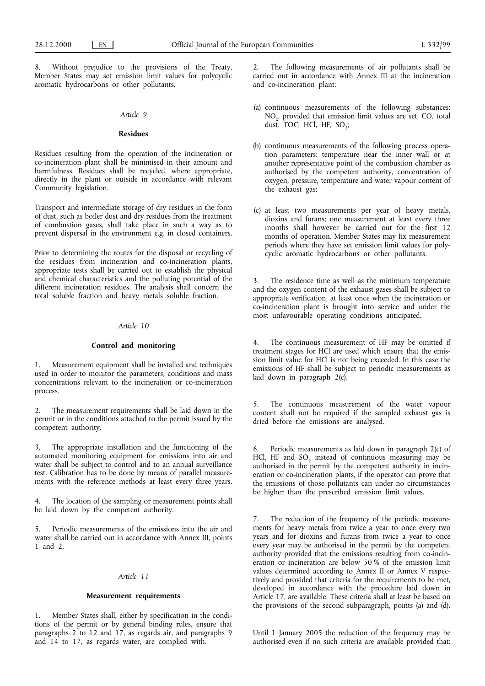8. Without prejudice to the provisions of the Treaty, Member States may set emission limit values for polycyclic aromatic hydrocarbons or other pollutants.

## *Article 9*

### **Residues**

Residues resulting from the operation of the incineration or co-incineration plant shall be minimised in their amount and harmfulness. Residues shall be recycled, where appropriate, directly in the plant or outside in accordance with relevant Community legislation.

Transport and intermediate storage of dry residues in the form of dust, such as boiler dust and dry residues from the treatment of combustion gases, shall take place in such a way as to prevent dispersal in the environment e.g. in closed containers.

Prior to determining the routes for the disposal or recycling of the residues from incineration and co-incineration plants, appropriate tests shall be carried out to establish the physical and chemical characteristics and the polluting potential of the different incineration residues. The analysis shall concern the total soluble fraction and heavy metals soluble fraction.

## *Article 10*

#### **Control and monitoring**

1. Measurement equipment shall be installed and techniques used in order to monitor the parameters, conditions and mass concentrations relevant to the incineration or co-incineration process.

2. The measurement requirements shall be laid down in the permit or in the conditions attached to the permit issued by the competent authority.

3. The appropriate installation and the functioning of the automated monitoring equipment for emissions into air and water shall be subject to control and to an annual surveillance test. Calibration has to be done by means of parallel measurements with the reference methods at least every three years.

4. The location of the sampling or measurement points shall be laid down by the competent authority.

5. Periodic measurements of the emissions into the air and water shall be carried out in accordance with Annex III, points 1 and 2.

### *Article 11*

#### **Measurement requirements**

1. Member States shall, either by specification in the conditions of the permit or by general binding rules, ensure that paragraphs 2 to 12 and 17, as regards air, and paragraphs 9 and 14 to 17, as regards water, are complied with.

2. The following measurements of air pollutants shall be carried out in accordance with Annex III at the incineration and co-incineration plant:

- (a) continuous measurements of the following substances:  $NO_x$ , provided that emission limit values are set, CO, total dust, TOC, HCl, HF,  $SO_2$ ;
- (b) continuous measurements of the following process operation parameters: temperature near the inner wall or at another representative point of the combustion chamber as authorised by the competent authority, concentration of oxygen, pressure, temperature and water vapour content of the exhaust gas;
- (c) at least two measurements per year of heavy metals, dioxins and furans; one measurement at least every three months shall however be carried out for the first 12 months of operation. Member States may fix measurement periods where they have set emission limit values for polycyclic aromatic hydrocarbons or other pollutants.

3. The residence time as well as the minimum temperature and the oxygen content of the exhaust gases shall be subject to appropriate verification, at least once when the incineration or co-incineration plant is brought into service and under the most unfavourable operating conditions anticipated.

4. The continuous measurement of HF may be omitted if treatment stages for HCl are used which ensure that the emission limit value for HCl is not being exceeded. In this case the emissions of HF shall be subject to periodic measurements as laid down in paragraph 2(c).

5. The continuous measurement of the water vapour content shall not be required if the sampled exhaust gas is dried before the emissions are analysed.

6. Periodic measurements as laid down in paragraph 2(c) of HCl, HF and SO<sub>2</sub> instead of continuous measuring may be authorised in the permit by the competent authority in incineration or co-incineration plants, if the operator can prove that the emissions of those pollutants can under no circumstances be higher than the prescribed emission limit values.

7. The reduction of the frequency of the periodic measurements for heavy metals from twice a year to once every two years and for dioxins and furans from twice a year to once every year may be authorised in the permit by the competent authority provided that the emissions resulting from co-incineration or incineration are below 50 % of the emission limit values determined according to Annex II or Annex V respectively and provided that criteria for the requirements to be met, developed in accordance with the procedure laid down in Article 17, are available. These criteria shall at least be based on the provisions of the second subparagraph, points (a) and (d).

Until 1 January 2005 the reduction of the frequency may be authorised even if no such criteria are available provided that: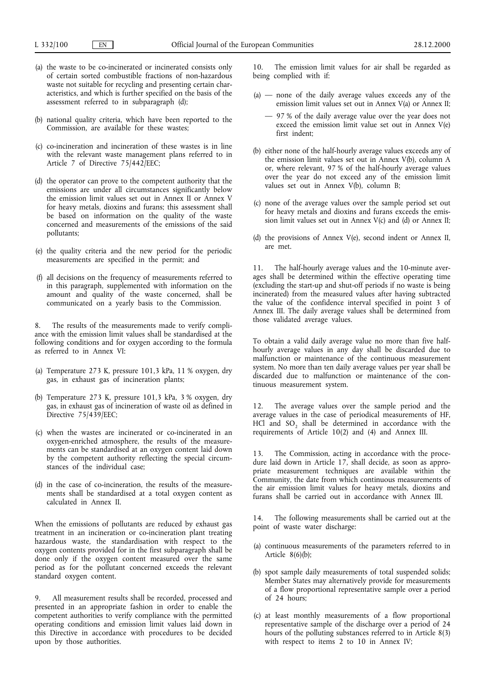- (a) the waste to be co-incinerated or incinerated consists only of certain sorted combustible fractions of non-hazardous waste not suitable for recycling and presenting certain characteristics, and which is further specified on the basis of the assessment referred to in subparagraph (d);
- (b) national quality criteria, which have been reported to the Commission, are available for these wastes;
- (c) co-incineration and incineration of these wastes is in line with the relevant waste management plans referred to in Article 7 of Directive 75/442/EEC;
- (d) the operator can prove to the competent authority that the emissions are under all circumstances significantly below the emission limit values set out in Annex II or Annex V for heavy metals, dioxins and furans; this assessment shall be based on information on the quality of the waste concerned and measurements of the emissions of the said pollutants;
- (e) the quality criteria and the new period for the periodic measurements are specified in the permit; and
- (f) all decisions on the frequency of measurements referred to in this paragraph, supplemented with information on the amount and quality of the waste concerned, shall be communicated on a yearly basis to the Commission.

8. The results of the measurements made to verify compliance with the emission limit values shall be standardised at the following conditions and for oxygen according to the formula as referred to in Annex VI:

- (a) Temperature 273 K, pressure 101,3 kPa, 11 % oxygen, dry gas, in exhaust gas of incineration plants;
- (b) Temperature 273 K, pressure 101,3 kPa, 3 % oxygen, dry gas, in exhaust gas of incineration of waste oil as defined in Directive 75/439/EEC;
- (c) when the wastes are incinerated or co-incinerated in an oxygen-enriched atmosphere, the results of the measurements can be standardised at an oxygen content laid down by the competent authority reflecting the special circumstances of the individual case;
- (d) in the case of co-incineration, the results of the measurements shall be standardised at a total oxygen content as calculated in Annex II.

When the emissions of pollutants are reduced by exhaust gas treatment in an incineration or co-incineration plant treating hazardous waste, the standardisation with respect to the oxygen contents provided for in the first subparagraph shall be done only if the oxygen content measured over the same period as for the pollutant concerned exceeds the relevant standard oxygen content.

All measurement results shall be recorded, processed and presented in an appropriate fashion in order to enable the competent authorities to verify compliance with the permitted operating conditions and emission limit values laid down in this Directive in accordance with procedures to be decided upon by those authorities.

The emission limit values for air shall be regarded as being complied with if:

- (a) none of the daily average values exceeds any of the emission limit values set out in Annex V(a) or Annex II;
	- 97 % of the daily average value over the year does not exceed the emission limit value set out in Annex V(e) first indent;
- (b) either none of the half-hourly average values exceeds any of the emission limit values set out in Annex V(b), column A or, where relevant, 97 % of the half-hourly average values over the year do not exceed any of the emission limit values set out in Annex V(b), column B;
- (c) none of the average values over the sample period set out for heavy metals and dioxins and furans exceeds the emission limit values set out in Annex V(c) and (d) or Annex II;
- (d) the provisions of Annex V(e), second indent or Annex II, are met.

11. The half-hourly average values and the 10-minute averages shall be determined within the effective operating time (excluding the start-up and shut-off periods if no waste is being incinerated) from the measured values after having subtracted the value of the confidence interval specified in point 3 of Annex III. The daily average values shall be determined from those validated average values.

To obtain a valid daily average value no more than five halfhourly average values in any day shall be discarded due to malfunction or maintenance of the continuous measurement system. No more than ten daily average values per year shall be discarded due to malfunction or maintenance of the continuous measurement system.

12. The average values over the sample period and the average values in the case of periodical measurements of HF, HCl and SO<sub>2</sub> shall be determined in accordance with the requirements of Article 10(2) and (4) and Annex III.

13. The Commission, acting in accordance with the procedure laid down in Article 17, shall decide, as soon as appropriate measurement techniques are available within the Community, the date from which continuous measurements of the air emission limit values for heavy metals, dioxins and furans shall be carried out in accordance with Annex III.

14. The following measurements shall be carried out at the point of waste water discharge:

- (a) continuous measurements of the parameters referred to in Article  $8(6)(b)$ ;
- (b) spot sample daily measurements of total suspended solids; Member States may alternatively provide for measurements of a flow proportional representative sample over a period of 24 hours;
- (c) at least monthly measurements of a flow proportional representative sample of the discharge over a period of 24 hours of the polluting substances referred to in Article 8(3) with respect to items 2 to 10 in Annex IV;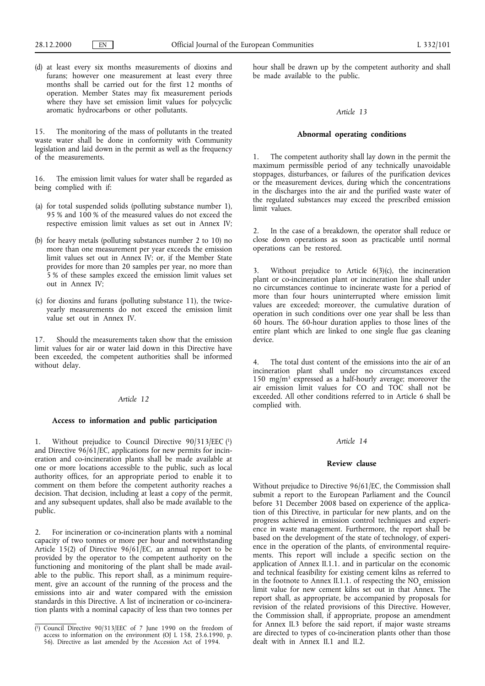(d) at least every six months measurements of dioxins and furans; however one measurement at least every three months shall be carried out for the first 12 months of operation. Member States may fix measurement periods where they have set emission limit values for polycyclic aromatic hydrocarbons or other pollutants.

15. The monitoring of the mass of pollutants in the treated waste water shall be done in conformity with Community legislation and laid down in the permit as well as the frequency of the measurements.

16. The emission limit values for water shall be regarded as being complied with if:

- (a) for total suspended solids (polluting substance number 1), 95 % and 100 % of the measured values do not exceed the respective emission limit values as set out in Annex IV;
- (b) for heavy metals (polluting substances number 2 to 10) no more than one measurement per year exceeds the emission limit values set out in Annex IV; or, if the Member State provides for more than 20 samples per year, no more than 5 % of these samples exceed the emission limit values set out in Annex IV;
- (c) for dioxins and furans (polluting substance 11), the twiceyearly measurements do not exceed the emission limit value set out in Annex IV.

17. Should the measurements taken show that the emission limit values for air or water laid down in this Directive have been exceeded, the competent authorities shall be informed without delay.

## *Article 12*

#### **Access to information and public participation**

1. Without prejudice to Council Directive 90/313/EEC (1) and Directive  $96/61/EC$ , applications for new permits for incineration and co-incineration plants shall be made available at one or more locations accessible to the public, such as local authority offices, for an appropriate period to enable it to comment on them before the competent authority reaches a decision. That decision, including at least a copy of the permit, and any subsequent updates, shall also be made available to the public.

2. For incineration or co-incineration plants with a nominal capacity of two tonnes or more per hour and notwithstanding Article 15(2) of Directive 96/61/EC, an annual report to be provided by the operator to the competent authority on the functioning and monitoring of the plant shall be made available to the public. This report shall, as a minimum requirement, give an account of the running of the process and the emissions into air and water compared with the emission standards in this Directive. A list of incineration or co-incineration plants with a nominal capacity of less than two tonnes per hour shall be drawn up by the competent authority and shall be made available to the public.

### *Article 13*

#### **Abnormal operating conditions**

1. The competent authority shall lay down in the permit the maximum permissible period of any technically unavoidable stoppages, disturbances, or failures of the purification devices or the measurement devices, during which the concentrations in the discharges into the air and the purified waste water of the regulated substances may exceed the prescribed emission limit values.

In the case of a breakdown, the operator shall reduce or close down operations as soon as practicable until normal operations can be restored.

3. Without prejudice to Article 6(3)(c), the incineration plant or co-incineration plant or incineration line shall under no circumstances continue to incinerate waste for a period of more than four hours uninterrupted where emission limit values are exceeded; moreover, the cumulative duration of operation in such conditions over one year shall be less than 60 hours. The 60-hour duration applies to those lines of the entire plant which are linked to one single flue gas cleaning device.

4. The total dust content of the emissions into the air of an incineration plant shall under no circumstances exceed  $150 \, \text{mg/m}^3$  expressed as a half-hourly average; moreover the air emission limit values for CO and TOC shall not be exceeded. All other conditions referred to in Article 6 shall be complied with.

## *Article 14*

#### **Review clause**

Without prejudice to Directive 96/61/EC, the Commission shall submit a report to the European Parliament and the Council before 31 December 2008 based on experience of the application of this Directive, in particular for new plants, and on the progress achieved in emission control techniques and experience in waste management. Furthermore, the report shall be based on the development of the state of technology, of experience in the operation of the plants, of environmental requirements. This report will include a specific section on the application of Annex II.1.1. and in particular on the economic and technical feasibility for existing cement kilns as referred to in the footnote to Annex II.1.1. of respecting the  $NO<sub>x</sub>$  emission limit value for new cement kilns set out in that Annex. The report shall, as appropriate, be accompanied by proposals for revision of the related provisions of this Directive. However, the Commission shall, if appropriate, propose an amendment for Annex II.3 before the said report, if major waste streams are directed to types of co-incineration plants other than those dealt with in Annex II.1 and II.2.

<sup>(</sup> 1) Council Directive 90/313/EEC of 7 June 1990 on the freedom of access to information on the environment (OJ L 158, 23.6.1990, p. 56). Directive as last amended by the Accession Act of 1994.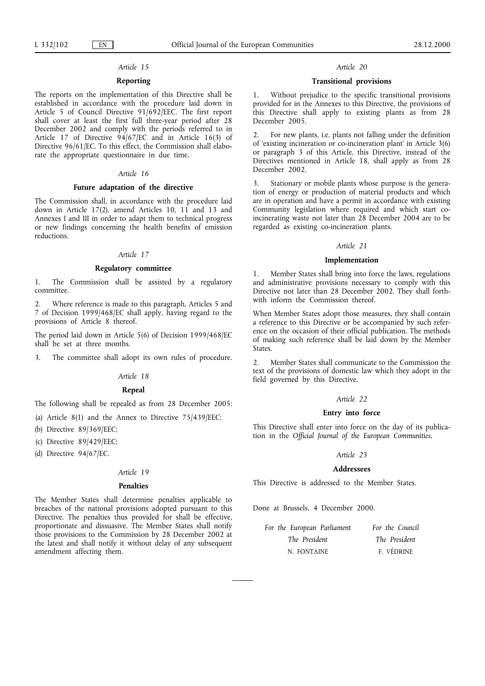## *Article 15*

## **Reporting**

The reports on the implementation of this Directive shall be established in accordance with the procedure laid down in Article 5 of Council Directive 91/692/EEC. The first report shall cover at least the first full three-year period after 28 December 2002 and comply with the periods referred to in Article 17 of Directive  $94/67/EC$  and in Article 16(3) of Directive 96/61/EC. To this effect, the Commission shall elaborate the appropriate questionnaire in due time.

#### *Article 16*

#### **Future adaptation of the directive**

The Commission shall, in accordance with the procedure laid down in Article 17(2), amend Articles 10, 11 and 13 and Annexes I and III in order to adapt them to technical progress or new findings concerning the health benefits of emission reductions.

## *Article 17*

## **Regulatory committee**

1. The Commission shall be assisted by a regulatory committee.

Where reference is made to this paragraph, Articles 5 and 7 of Decision 1999/468/EC shall apply, having regard to the provisions of Article 8 thereof.

The period laid down in Article 5(6) of Decision 1999/468/EC shall be set at three months.

3. The committee shall adopt its own rules of procedure.

#### *Article 18*

#### **Repeal**

The following shall be repealed as from 28 December 2005:

(a) Article 8(1) and the Annex to Directive 75/439/EEC;

(b) Directive 89/369/EEC;

- (c) Directive 89/429/EEC;
- (d) Directive 94/67/EC.

#### *Article 19*

## **Penalties**

The Member States shall determine penalties applicable to breaches of the national provisions adopted pursuant to this Directive. The penalties thus provided for shall be effective, proportionate and dissuasive. The Member States shall notify those provisions to the Commission by 28 December 2002 at the latest and shall notify it without delay of any subsequent amendment affecting them.

### *Article 20*

#### **Transitional provisions**

1. Without prejudice to the specific transitional provisions provided for in the Annexes to this Directive, the provisions of this Directive shall apply to existing plants as from 28 December 2005.

2. For new plants, i.e. plants not falling under the definition of 'existing incineration or co-incineration plant' in Article 3(6) or paragraph 3 of this Article, this Directive, instead of the Directives mentioned in Article 18, shall apply as from 28 December 2002.

3. Stationary or mobile plants whose purpose is the generation of energy or production of material products and which are in operation and have a permit in accordance with existing Community legislation where required and which start coincinerating waste not later than 28 December 2004 are to be regarded as existing co-incineration plants.

#### *Article 21*

#### **Implementation**

1. Member States shall bring into force the laws, regulations and administrative provisions necessary to comply with this Directive not later than 28 December 2002. They shall forthwith inform the Commission thereof.

When Member States adopt those measures, they shall contain a reference to this Directive or be accompanied by such reference on the occasion of their official publication. The methods of making such reference shall be laid down by the Member States.

2. Member States shall communicate to the Commission the text of the provisions of domestic law which they adopt in the field governed by this Directive.

#### *Article 22*

#### **Entry into force**

This Directive shall enter into force on the day of its publication in the *Official Journal of the European Communities*.

#### *Article 23*

## **Addressees**

This Directive is addressed to the Member States.

Done at Brussels, 4 December 2000.

| For the European Parliament | For the Council |
|-----------------------------|-----------------|
| The President               | The President   |
| N. FONTAINE                 | F. VÉDRINE      |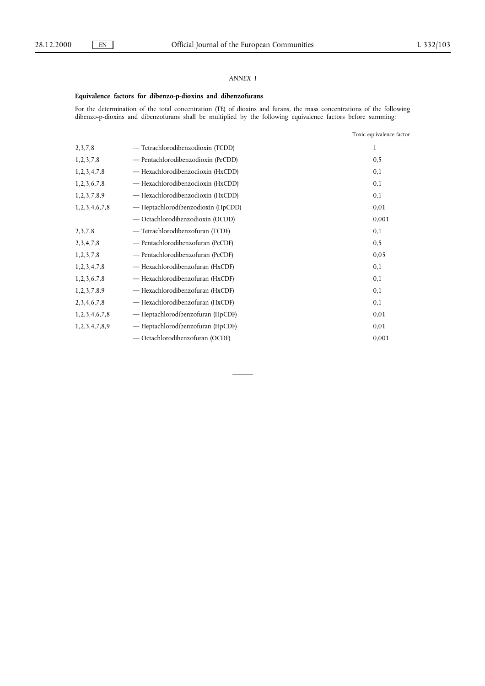## *ANNEX I*

## **Equivalence factors for dibenzo-p-dioxins and dibenzofurans**

For the determination of the total concentration (TE) of dioxins and furans, the mass concentrations of the following dibenzo-p-dioxins and dibenzofurans shall be multiplied by the following equivalence factors before summing:

|                     |                                    | Toxic equivalence factor |
|---------------------|------------------------------------|--------------------------|
| 2,3,7,8             | - Tetrachlorodibenzodioxin (TCDD)  | $\mathbf{1}$             |
| 1, 2, 3, 7, 8       | - Pentachlorodibenzodioxin (PeCDD) | 0, 5                     |
| 1, 2, 3, 4, 7, 8    | - Hexachlorodibenzodioxin (HxCDD)  | 0,1                      |
| 1, 2, 3, 6, 7, 8    | - Hexachlorodibenzodioxin (HxCDD)  | 0,1                      |
| 1, 2, 3, 7, 8, 9    | - Hexachlorodibenzodioxin (HxCDD)  | 0,1                      |
| 1, 2, 3, 4, 6, 7, 8 | — Heptachlorodibenzodioxin (HpCDD) | 0,01                     |
|                     | - Octachlorodibenzodioxin (OCDD)   | 0,001                    |
| 2,3,7,8             | - Tetrachlorodibenzofuran (TCDF)   | 0,1                      |
| 2, 3, 4, 7, 8       | - Pentachlorodibenzofuran (PeCDF)  | 0, 5                     |
| 1, 2, 3, 7, 8       | - Pentachlorodibenzofuran (PeCDF)  | 0,05                     |
| 1, 2, 3, 4, 7, 8    | - Hexachlorodibenzofuran (HxCDF)   | 0,1                      |
| 1, 2, 3, 6, 7, 8    | - Hexachlorodibenzofuran (HxCDF)   | 0,1                      |
| 1, 2, 3, 7, 8, 9    | - Hexachlorodibenzofuran (HxCDF)   | 0,1                      |
| 2,3,4,6,7,8         | - Hexachlorodibenzofuran (HxCDF)   | 0,1                      |
| 1, 2, 3, 4, 6, 7, 8 | - Heptachlorodibenzofuran (HpCDF)  | 0,01                     |
| 1, 2, 3, 4, 7, 8, 9 | - Heptachlorodibenzofuran (HpCDF)  | 0,01                     |
|                     | - Octachlorodibenzofuran (OCDF)    | 0,001                    |
|                     |                                    |                          |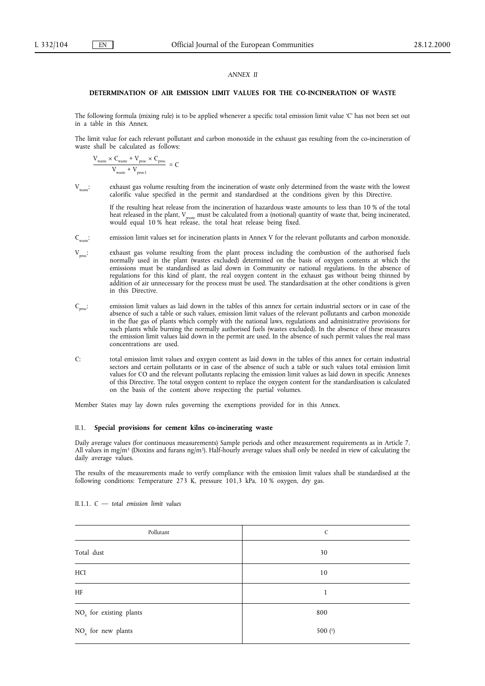## *ANNEX II*

## **DETERMINATION OF AIR EMISSION LIMIT VALUES FOR THE CO-INCINERATION OF WASTE**

The following formula (mixing rule) is to be applied whenever a specific total emission limit value 'C' has not been set out in a table in this Annex.

The limit value for each relevant pollutant and carbon monoxide in the exhaust gas resulting from the co-incineration of waste shall be calculated as follows:

$$
\frac{V_{\text{waste}} \times C_{\text{waste}} + V_{\text{proc}} \times C_{\text{proc}}}{V_{\text{waste}} + V_{\text{proc}}} = C
$$

V<sub>waste</sub>: exhaust gas volume resulting from the incineration of waste only determined from the waste with the lowest calorific value specified in the permit and standardised at the conditions given by this Directive.

> If the resulting heat release from the incineration of hazardous waste amounts to less than 10 % of the total heat released in the plant, V<sub>waste</sub> must be calculated from a (notional) quantity of waste that, being incinerated,<br>would equal 10 % heat release, the total heat release being fixed.

- $C_{\text{waste}}$ : emission limit values set for incineration plants in Annex V for the relevant pollutants and carbon monoxide.
- V<sub>proc</sub>: exhaust gas volume resulting from the plant process including the combustion of the authorised fuels normally used in the plant (wastes excluded) determined on the basis of oxygen contents at which the emissions must be standardised as laid down in Community or national regulations. In the absence of regulations for this kind of plant, the real oxygen content in the exhaust gas without being thinned by addition of air unnecessary for the process must be used. The standardisation at the other conditions is given in this Directive.
- C<sub>proc</sub>: emission limit values as laid down in the tables of this annex for certain industrial sectors or in case of the absence of such a table or such values, emission limit values of the relevant pollutants and carbon monoxide in the flue gas of plants which comply with the national laws, regulations and administrative provisions for such plants while burning the normally authorised fuels (wastes excluded). In the absence of these measures the emission limit values laid down in the permit are used. In the absence of such permit values the real mass concentrations are used.
- C: total emission limit values and oxygen content as laid down in the tables of this annex for certain industrial sectors and certain pollutants or in case of the absence of such a table or such values total emission limit values for CO and the relevant pollutants replacing the emission limit values as laid down in specific Annexes of this Directive. The total oxygen content to replace the oxygen content for the standardisation is calculated on the basis of the content above respecting the partial volumes.

Member States may lay down rules governing the exemptions provided for in this Annex.

#### II.1. **Special provisions for cement kilns co-incinerating waste**

Daily average values (for continuous measurements) Sample periods and other measurement requirements as in Article 7. All values in mg/m<sup>3</sup> (Dioxins and furans ng/m<sup>3</sup>). Half-hourly average values shall only be needed in view of calculating the daily average values.

The results of the measurements made to verify compliance with the emission limit values shall be standardised at the following conditions: Temperature 273 K, pressure 101,3 kPa, 10 % oxygen, dry gas.

| Pollutant                 | $\mathsf{C}$ |
|---------------------------|--------------|
| Total dust                | 30           |
| HCI                       | 10           |
| HF                        | 1            |
| $NOx$ for existing plants | 800          |
| $NOx$ for new plants      | 500 (1)      |

II.1.1. *C — total emission limit values*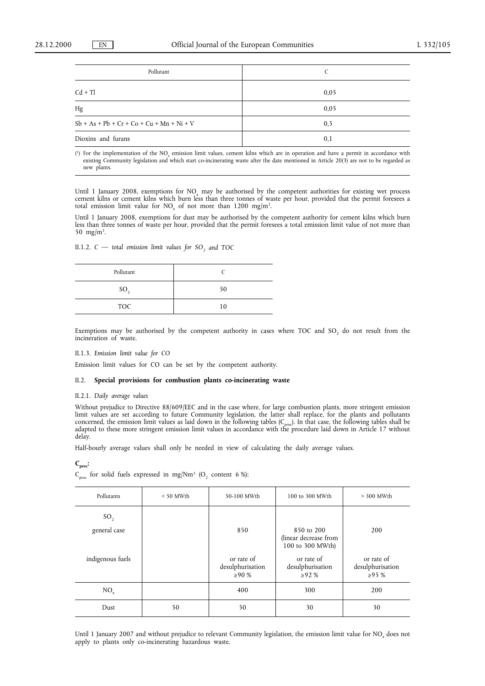| Pollutant                                   | $\sqrt{ }$ |
|---------------------------------------------|------------|
| $Cd + Tl$                                   | 0,05       |
| Hg                                          | 0,05       |
| $Sb + As + Pb + Cr + Co + Cu + Mn + Ni + V$ | 0, 5       |
| Dioxins and furans                          | 0,1        |

 $(!)$  For the implementation of the NO<sub>x</sub> emission limit values, cement kilns which are in operation and have a permit in accordance with existing Community legislation and which start co-incinerating waste after the date mentioned in Article 20(3) are not to be regarded as new plants.

Until 1 January 2008, exemptions for NO<sub>x</sub> may be authorised by the competent authorities for existing wet process<br>cement kilns or cement kilns which burn less than three tonnes of waste per hour, provided that the permit total emission limit value for  $NO<sub>x</sub>$  of not more than 1200 mg/m<sup>3</sup>.

Until 1 January 2008, exemptions for dust may be authorised by the competent authority for cement kilns which burn less than three tonnes of waste per hour, provided that the permit foresees a total emission limit value of not more than 50 mg/m3.

II.1.2.  $C$  — total emission limit values for  $SO_2$  and TOC

| Pollutant       | ┌  |
|-----------------|----|
| SO <sub>2</sub> | 50 |
| <b>TOC</b>      | 10 |

Exemptions may be authorised by the competent authority in cases where TOC and  $SO<sub>2</sub>$  do not result from the incineration of waste.

## II.1.3. *Emission limit value for CO*

Emission limit values for CO can be set by the competent authority.

## II.2. **Special provisions for combustion plants co-incinerating waste**

#### II.2.1. *Daily average values*

Without prejudice to Directive 88/609/EEC and in the case where, for large combustion plants, more stringent emission limit values are set according to future Community legislation, the latter shall replace, for the plants and pollutants concerned, the emission limit values as laid down in the following tables (C<sub>proc</sub>). In that case, the following tables shall be<br>adapted to these more stringent emission limit values in accordance with the procedure laid d delay.

Half-hourly average values shall only be needed in view of calculating the daily average values.

**Cproc:**

 $C_{\text{proc}}$  for solid fuels expressed in mg/Nm<sup>3</sup> (O<sub>2</sub> content 6 %):

| Pollutants                      | $< 50$ MWth | 50-100 MWth                               | 100 to 300 MWth                                         | > 300 MWth                             |
|---------------------------------|-------------|-------------------------------------------|---------------------------------------------------------|----------------------------------------|
| SO <sub>2</sub><br>general case |             | 850                                       | 850 to 200<br>(linear decrease from<br>100 to 300 MWth) | 200                                    |
| indigenous fuels                |             | or rate of<br>desulphurisation<br>$>90\%$ | or rate of<br>desulphurisation<br>$>92\%$               | or rate of<br>desulphurisation<br>>95% |
| NO <sub>x</sub>                 |             | 400                                       | 300                                                     | 200                                    |
| Dust                            | 50          | 50                                        | 30                                                      | 30                                     |

Until 1 January 2007 and without prejudice to relevant Community legislation, the emission limit value for  $NO<sub>x</sub>$  does not apply to plants only co-incinerating hazardous waste.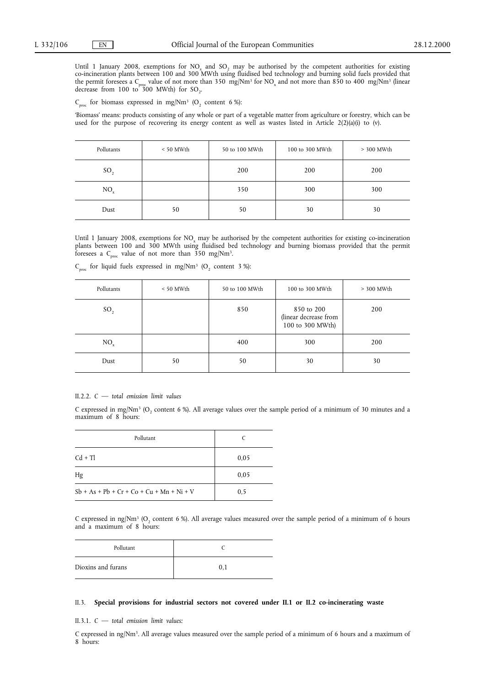Until 1 January 2008, exemptions for NO<sub>x</sub> and SO<sub>2</sub> may be authorised by the competent authorities for existing<br>co-incineration plants between 100 and 300 MWth using fluidised bed technology and burning solid fuels provid the permit foresees a C<sub>proc</sub> value of not more than 350 mg/Nm<sup>3</sup> for NO<sub>x</sub> and not more than 850 to 400 mg/Nm<sup>3</sup> (linear decrease from 100 to 300 MWth) for  $SO_2$ .

 $C_{\text{proc}}$  for biomass expressed in mg/Nm<sup>3</sup> (O<sub>2</sub> content 6 %):

'Biomass' means: products consisting of any whole or part of a vegetable matter from agriculture or forestry, which can be used for the purpose of recovering its energy content as well as wastes listed in Article 2(2)(a)(i) to (v).

| Pollutants      | $< 50$ MWth | 50 to 100 MWth | 100 to 300 MWth | > 300 MWth |
|-----------------|-------------|----------------|-----------------|------------|
| SO <sub>2</sub> |             | 200            | 200             | 200        |
| NO <sub>x</sub> |             | 350            | 300             | 300        |
| Dust            | 50          | 50             | 30              | 30         |

Until 1 January 2008, exemptions for NO<sub>x</sub> may be authorised by the competent authorities for existing co-incineration<br>plants between 100 and 300 MWth using fluidised bed technology and burning biomass provided that the p foresees a  $C_{\text{proc}}$  value of not more than 350 mg/Nm<sup>3</sup>.

| Pollutants      | $< 50$ MWth | 50 to 100 MWth | 100 to 300 MWth                                         | > 300 MWth |
|-----------------|-------------|----------------|---------------------------------------------------------|------------|
| SO <sub>2</sub> |             | 850            | 850 to 200<br>(linear decrease from<br>100 to 300 MWth) | 200        |
| NO <sub>x</sub> |             | 400            | 300                                                     | 200        |
| Dust            | 50          | 50             | 30                                                      | 30         |

 $C_{\text{proc}}$  for liquid fuels expressed in mg/Nm<sup>3</sup> (O<sub>2</sub> content 3 %):

## II.2.2. *C — total emission limit values*

C expressed in mg/Nm<sup>3</sup> (O<sub>2</sub> content 6 %). All average values over the sample period of a minimum of 30 minutes and a maximum of 8 hours:

| Pollutant                                   | C    |
|---------------------------------------------|------|
| $Cd + Tl$                                   | 0.05 |
| Hg                                          | 0.05 |
| $Sb + As + Pb + Cr + Co + Cu + Mn + Ni + V$ | 0,5  |

C expressed in ng/Nm<sup>3</sup> (O<sub>2</sub> content 6 %). All average values measured over the sample period of a minimum of 6 hours and a maximum of 8 hours:

| Pollutant          |     |
|--------------------|-----|
| Dioxins and furans | 0.1 |

## II.3. **Special provisions for industrial sectors not covered under II.1 or II.2 co-incinerating waste**

II.3.1. *C — total emission limit values:*

C expressed in ng/Nm3. All average values measured over the sample period of a minimum of 6 hours and a maximum of 8 hours: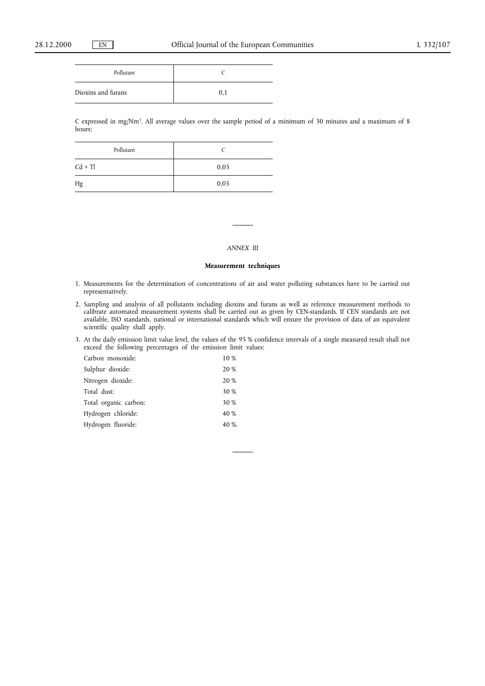| Pollutant          |  |
|--------------------|--|
| Dioxins and furans |  |

C expressed in mg/Nm3. All average values over the sample period of a minimum of 30 minutes and a maximum of 8 hours:

| Pollutant |      |
|-----------|------|
| $Cd + T1$ | 0,05 |
| Hg        | 0,05 |

#### *ANNEX III*

## **Measurement techniques**

- 1. Measurements for the determination of concentrations of air and water polluting substances have to be carried out representatively.
- 2. Sampling and analysis of all pollutants including dioxins and furans as well as reference measurement methods to calibrate automated measurement systems shall be carried out as given by CEN-standards. If CEN standards are not available, ISO standards, national or international standards which will ensure the provision of data of an equivalent scientific quality shall apply.
- 3. At the daily emission limit value level, the values of the 95 % confidence intervals of a single measured result shall not exceed the following percentages of the emission limit values:

| Carbon monoxide:      | 10 %  |
|-----------------------|-------|
| Sulphur dioxide:      | 20 %  |
| Nitrogen dioxide:     | 20 %  |
| Total dust:           | 30 %  |
| Total organic carbon: | 30 %  |
| Hydrogen chloride:    | 40 %  |
| Hydrogen fluoride:    | 40 %. |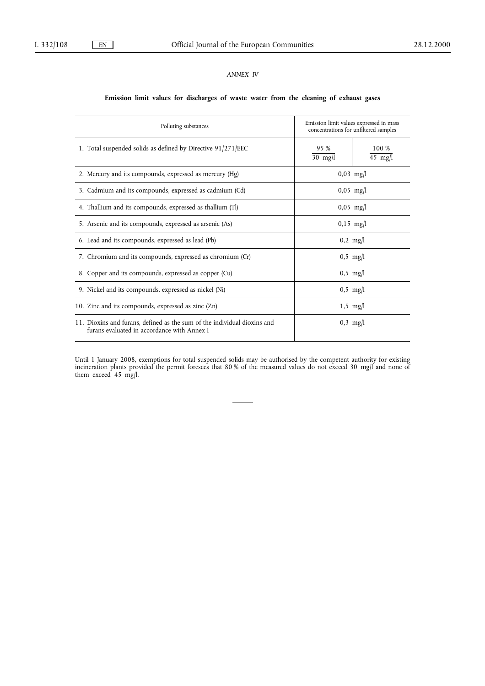## *ANNEX IV*

## **Emission limit values for discharges of waste water from the cleaning of exhaust gases**

| Polluting substances                                                                                                    | Emission limit values expressed in mass<br>concentrations for unfiltered samples |                    |
|-------------------------------------------------------------------------------------------------------------------------|----------------------------------------------------------------------------------|--------------------|
| 1. Total suspended solids as defined by Directive 91/271/EEC                                                            | 95 %<br>$30$ mg/l                                                                | 100 %<br>45 $mg/l$ |
| 2. Mercury and its compounds, expressed as mercury (Hg)                                                                 |                                                                                  | $0,03$ mg/l        |
| 3. Cadmium and its compounds, expressed as cadmium (Cd)                                                                 | $0,05$ mg/l                                                                      |                    |
| 4. Thallium and its compounds, expressed as thallium (Tl)                                                               | $0.05$ mg/l                                                                      |                    |
| 5. Arsenic and its compounds, expressed as arsenic (As)                                                                 | $0,15$ mg/l                                                                      |                    |
| 6. Lead and its compounds, expressed as lead (Pb)                                                                       | $0,2 \text{ mg}/l$                                                               |                    |
| 7. Chromium and its compounds, expressed as chromium (Cr)                                                               |                                                                                  | $0,5$ mg/l         |
| 8. Copper and its compounds, expressed as copper (Cu)                                                                   | $0,5$ mg/l                                                                       |                    |
| 9. Nickel and its compounds, expressed as nickel (Ni)                                                                   | $0,5$ mg/l                                                                       |                    |
| 10. Zinc and its compounds, expressed as zinc (Zn)                                                                      |                                                                                  | $1,5$ mg/l         |
| 11. Dioxins and furans, defined as the sum of the individual dioxins and<br>furans evaluated in accordance with Annex I |                                                                                  | $0,3$ mg/l         |

Until 1 January 2008, exemptions for total suspended solids may be authorised by the competent authority for existing incineration plants provided the permit foresees that 80 % of the measured values do not exceed 30 mg/l and none of them exceed 45 mg/l.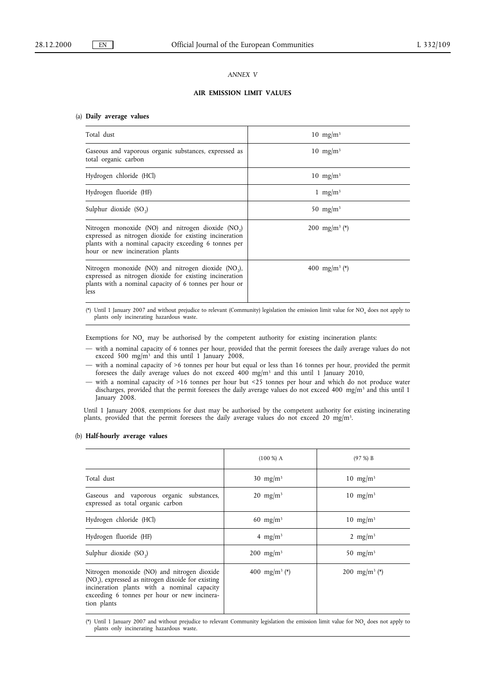## *ANNEX V*

## **AIR EMISSION LIMIT VALUES**

#### (a) **Daily average values**

| Total dust                                                                                                                                                                                                            | $10 \text{ mg/m}^3$       |
|-----------------------------------------------------------------------------------------------------------------------------------------------------------------------------------------------------------------------|---------------------------|
| Gaseous and vaporous organic substances, expressed as<br>total organic carbon                                                                                                                                         | $10 \text{ mg/m}^3$       |
| Hydrogen chloride (HCl)                                                                                                                                                                                               | $10 \text{ mg/m}^3$       |
| Hydrogen fluoride (HF)                                                                                                                                                                                                | 1 mg/m <sup>3</sup>       |
| Sulphur dioxide (SO <sub>2</sub> )                                                                                                                                                                                    | 50 mg/m <sup>3</sup>      |
| Nitrogen monoxide (NO) and nitrogen dioxide (NO <sub>2</sub> )<br>expressed as nitrogen dioxide for existing incineration<br>plants with a nominal capacity exceeding 6 tonnes per<br>hour or new incineration plants | 200 mg/m <sup>3</sup> (*) |
| Nitrogen monoxide (NO) and nitrogen dioxide (NO <sub>2</sub> ),<br>expressed as nitrogen dioxide for existing incineration<br>plants with a nominal capacity of 6 tonnes per hour or<br>less                          | 400 mg/m <sup>3</sup> (*) |

(\*) Until 1 January 2007 and without prejudice to relevant (Community) legislation the emission limit value for  $NO<sub>x</sub>$  does not apply to plants only incinerating hazardous waste.

Exemptions for NO<sub>x</sub> may be authorised by the competent authority for existing incineration plants:

- with a nominal capacity of 6 tonnes per hour, provided that the permit foresees the daily average values do not exceed 500 mg/m<sup>3</sup> and this until 1 January 2008,
- with a nominal capacity of >6 tonnes per hour but equal or less than 16 tonnes per hour, provided the permit foresees the daily average values do not exceed  $400$  mg/m<sup>3</sup> and this until 1 January 2010,
- with a nominal capacity of >16 tonnes per hour but <25 tonnes per hour and which do not produce water discharges, provided that the permit foresees the daily average values do not exceed 400 mg/m<sup>3</sup> and this until 1 January<sup>2008</sup>.

Until 1 January 2008, exemptions for dust may be authorised by the competent authority for existing incinerating plants, provided that the permit foresees the daily average values do not exceed 20 mg/m3.

#### (b) **Half-hourly average values**

|                                                                                                                                                                                                                   | $(100\%)$ A               | (97%) B                   |
|-------------------------------------------------------------------------------------------------------------------------------------------------------------------------------------------------------------------|---------------------------|---------------------------|
| Total dust                                                                                                                                                                                                        | 30 mg/m <sup>3</sup>      | $10 \text{ mg/m}^3$       |
| Gaseous and vaporous organic substances,<br>expressed as total organic carbon                                                                                                                                     | $20$ mg/m <sup>3</sup>    | $10 \text{ mg/m}^3$       |
| Hydrogen chloride (HCl)                                                                                                                                                                                           | $60 \text{ mg/m}^3$       | $10 \text{ mg/m}^3$       |
| Hydrogen fluoride (HF)                                                                                                                                                                                            | 4 mg/m <sup>3</sup>       | 2 mg/m <sup>3</sup>       |
| Sulphur dioxide (SO <sub>2</sub> )                                                                                                                                                                                | $200 \text{ mg/m}^3$      | 50 mg/m <sup>3</sup>      |
| Nitrogen monoxide (NO) and nitrogen dioxide<br>$(NO2)$ , expressed as nitrogen dixoide for existing<br>incineration plants with a nominal capacity<br>exceeding 6 tonnes per hour or new incinera-<br>tion plants | 400 mg/m <sup>3</sup> (*) | 200 mg/m <sup>3</sup> (*) |

(\*) Until 1 January 2007 and without prejudice to relevant Community legislation the emission limit value for NO<sub>v</sub> does not apply to plants only incinerating hazardous waste.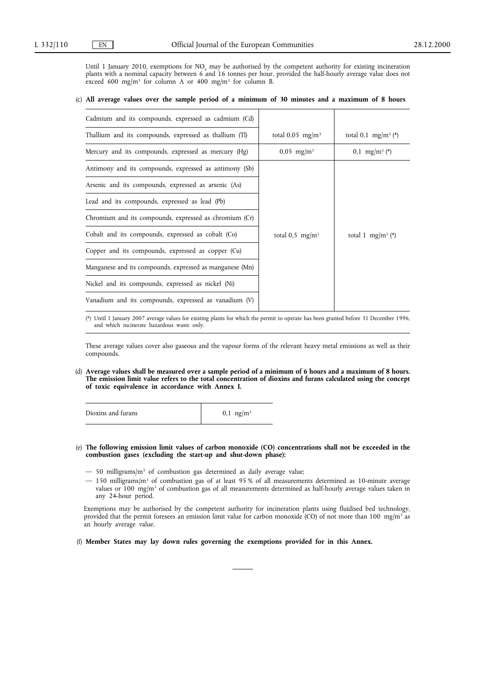Until 1 January 2010, exemptions for  $NO<sub>x</sub>$  may be authorised by the competent authority for existing incineration plants with a nominal capacity between 6 and 16 tonnes per hour, provided the half-hourly average value does not exceed 600 mg/m<sup>3</sup> for column A or 400 mg/m<sup>3</sup> for column B.

#### (c) **All average values over the sample period of a minimum of 30 minutes and a maximum of 8 hours**

| Cadmium and its compounds, expressed as cadmium (Cd)     |                                |                                 |
|----------------------------------------------------------|--------------------------------|---------------------------------|
| Thallium and its compounds, expressed as thallium (Tl)   | total $0.05$ mg/m <sup>3</sup> | total 0,1 mg/m <sup>3</sup> (*) |
| Mercury and its compounds, expressed as mercury (Hg)     | $0.05$ mg/m <sup>3</sup>       | 0,1 mg/m <sup>3</sup> $(*)$     |
| Antimony and its compounds, expressed as antimony (Sb)   |                                |                                 |
| Arsenic and its compounds, expressed as arsenic (As)     |                                |                                 |
| Lead and its compounds, expressed as lead (Pb)           |                                |                                 |
| Chromium and its compounds, expressed as chromium (Cr)   |                                |                                 |
| Cobalt and its compounds, expressed as cobalt (Co)       | total $0.5 \text{ mg/m}^3$     | total 1 mg/m <sup>3</sup> $(*)$ |
| Copper and its compounds, expressed as copper (Cu)       |                                |                                 |
| Manganese and its compounds, expressed as manganese (Mn) |                                |                                 |
| Nickel and its compounds, expressed as nickel (Ni)       |                                |                                 |
| Vanadium and its compounds, expressed as vanadium (V)    |                                |                                 |

(\*) Until 1 January 2007 average values for existing plants for which the permit to operate has been granted before 31 December 1996, and which incinerate hazardous waste only.

These average values cover also gaseous and the vapour forms of the relevant heavy metal emissions as well as their compounds.

(d) **Average values shall be measured over a sample period of a minimum of 6 hours and a maximum of 8 hours. The emission limit value refers to the total concentration of dioxins and furans calculated using the concept** of toxic equivalence in accordance with Annex I.

Dioxins and furans  $0,1 \text{ ng/m}^3$ 

#### (e) **The following emission limit values of carbon monoxide (CO) concentrations shall not be exceeded in the combustion gases (excluding the start-up and shut-down phase):**

- 50 milligrams/m3 of combustion gas determined as daily average value;
- 150 milligrams/m3 of combustion gas of at least 95 % of all measurements determined as 10-minute average values or 100 mg/m3 of combustion gas of all measurements determined as half-hourly average values taken in any 24-hour period.

Exemptions may be authorised by the competent authority for incineration plants using fluidised bed technology, provided that the permit foresees an emission limit value for carbon monoxide (CO) of not more than 100 mg/m<sup>3</sup> as an hourly average value.

### (f) **Member States may lay down rules governing the exemptions provided for in this Annex.**